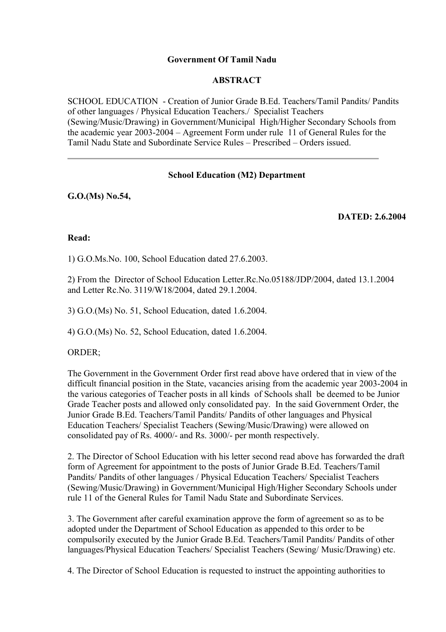# **Government Of Tamil Nadu**

### **ABSTRACT**

SCHOOL EDUCATION - Creation of Junior Grade B.Ed. Teachers/Tamil Pandits/ Pandits of other languages / Physical Education Teachers./ Specialist Teachers (Sewing/Music/Drawing) in Government/Municipal High/Higher Secondary Schools from the academic year 2003-2004 – Agreement Form under rule 11 of General Rules for the Tamil Nadu State and Subordinate Service Rules – Prescribed – Orders issued.

# **School Education (M2) Department**

**G.O.(Ms) No.54,**

# **DATED: 2.6.2004**

#### **Read:**

1) G.O.Ms.No. 100, School Education dated 27.6.2003.

2) From the Director of School Education Letter.Rc.No.05188/JDP/2004, dated 13.1.2004 and Letter Rc.No. 3119/W18/2004, dated 29.1.2004.

3) G.O.(Ms) No. 51, School Education, dated 1.6.2004.

4) G.O.(Ms) No. 52, School Education, dated 1.6.2004.

#### ORDER;

The Government in the Government Order first read above have ordered that in view of the difficult financial position in the State, vacancies arising from the academic year 2003-2004 in the various categories of Teacher posts in all kinds of Schools shall be deemed to be Junior Grade Teacher posts and allowed only consolidated pay. In the said Government Order, the Junior Grade B.Ed. Teachers/Tamil Pandits/ Pandits of other languages and Physical Education Teachers/ Specialist Teachers (Sewing/Music/Drawing) were allowed on consolidated pay of Rs. 4000/- and Rs. 3000/- per month respectively.

2. The Director of School Education with his letter second read above has forwarded the draft form of Agreement for appointment to the posts of Junior Grade B.Ed. Teachers/Tamil Pandits/ Pandits of other languages / Physical Education Teachers/ Specialist Teachers (Sewing/Music/Drawing) in Government/Municipal High/Higher Secondary Schools under rule 11 of the General Rules for Tamil Nadu State and Subordinate Services.

3. The Government after careful examination approve the form of agreement so as to be adopted under the Department of School Education as appended to this order to be compulsorily executed by the Junior Grade B.Ed. Teachers/Tamil Pandits/ Pandits of other languages/Physical Education Teachers/ Specialist Teachers (Sewing/ Music/Drawing) etc.

4. The Director of School Education is requested to instruct the appointing authorities to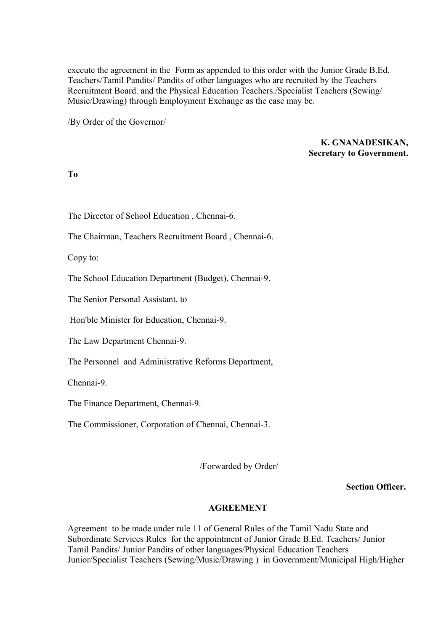execute the agreement in the Form as appended to this order with the Junior Grade B.Ed. Teachers/Tamil Pandits/ Pandits of other languages who are recruited by the Teachers Recruitment Board. and the Physical Education Teachers./Specialist Teachers (Sewing/ Music/Drawing) through Employment Exchange as the case may be.

/By Order of the Governor/

**K. GNANADESIKAN, Secretary to Government.**

# **To**

The Director of School Education , Chennai-6.

The Chairman, Teachers Recruitment Board , Chennai-6.

Copy to:

The School Education Department (Budget), Chennai-9.

The Senior Personal Assistant. to

Hon'ble Minister for Education, Chennai-9.

The Law Department Chennai-9.

The Personnel and Administrative Reforms Department,

Chennai-9.

The Finance Department, Chennai-9.

The Commissioner, Corporation of Chennai, Chennai-3.

/Forwarded by Order/

**Section Officer.** 

#### **AGREEMENT**

Agreement to be made under rule 11 of General Rules of the Tamil Nadu State and Subordinate Services Rules for the appointment of Junior Grade B.Ed. Teachers/ Junior Tamil Pandits/ Junior Pandits of other languages/Physical Education Teachers Junior/Specialist Teachers (Sewing/Music/Drawing ) in Government/Municipal High/Higher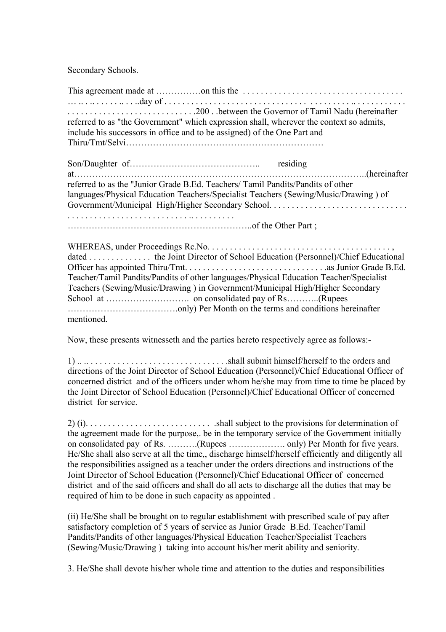Secondary Schools.

This agreement made at ……………on this the . . . . . . . . . . . . . . . . . . . . . . . . . . . . . . . . . . . . … .. . .. . . . . . .. . . ..day of . . . . . . . . . . . . . . . . . . . . . . . . . . . . . . . . . . . . . . . . . .. . . . . . . . . . . . . . . . . . . . . . . . . . . . . . . . . . . . . . . . .200 . .between the Governor of Tamil Nadu (hereinafter referred to as "the Government" which expression shall, wherever the context so admits, include his successors in office and to be assigned) of the One Part and Thiru/Tmt/Selvi………………………………………………………… Son/Daughter of…………………………………….. residing at……………………………………………………………………………………..(hereinafter referred to as the "Junior Grade B.Ed. Teachers/ Tamil Pandits/Pandits of other languages/Physical Education Teachers/Specialist Teachers (Sewing/Music/Drawing ) of Government/Municipal High/Higher Secondary School. . . . . . . . . . . . . . . . . . . . . . . . . . . . . . . . . . . . . . . . . . . . . . . . . . . . . . . . . . .. . . . . . . . . . ……………………………………………………..of the Other Part ; WHEREAS, under Proceedings Rc.No. . . . . . . . . . . . . . . . . . . . . . . . . . . . . . . . . . . . . . . . . , dated . . . . . . . . . . . . . . . the Joint Director of School Education (Personnel)/Chief Educational Officer has appointed Thiru/Tmt. . . . . . . . . . . . . . . . . . . . . . . . . . . . . . . .as Junior Grade B.Ed. Teacher/Tamil Pandits/Pandits of other languages/Physical Education Teacher/Specialist Teachers (Sewing/Music/Drawing ) in Government/Municipal High/Higher Secondary School at ………………………. on consolidated pay of Rs………..(Rupees ……………………………….only) Per Month on the terms and conditions hereinafter mentioned. Now, these presents witnesseth and the parties hereto respectively agree as follows:- 1) .. .. . . . . . . . . . . . . . . . . . . . . . . . . . . . . . . .shall submit himself/herself to the orders and directions of the Joint Director of School Education (Personnel)/Chief Educational Officer of concerned district and of the officers under whom he/she may from time to time be placed by the Joint Director of School Education (Personnel)/Chief Educational Officer of concerned district for service.

2) (i). . . . . . . . . . . . . . . . . . . . . . . . . . . . .shall subject to the provisions for determination of the agreement made for the purpose,. be in the temporary service of the Government initially on consolidated pay of Rs. ……….(Rupees ………………. only) Per Month for five years. He/She shall also serve at all the time,, discharge himself/herself efficiently and diligently all the responsibilities assigned as a teacher under the orders directions and instructions of the Joint Director of School Education (Personnel)/Chief Educational Officer of concerned district and of the said officers and shall do all acts to discharge all the duties that may be required of him to be done in such capacity as appointed .

(ii) He/She shall be brought on to regular establishment with prescribed scale of pay after satisfactory completion of 5 years of service as Junior Grade B.Ed. Teacher/Tamil Pandits/Pandits of other languages/Physical Education Teacher/Specialist Teachers (Sewing/Music/Drawing ) taking into account his/her merit ability and seniority.

3. He/She shall devote his/her whole time and attention to the duties and responsibilities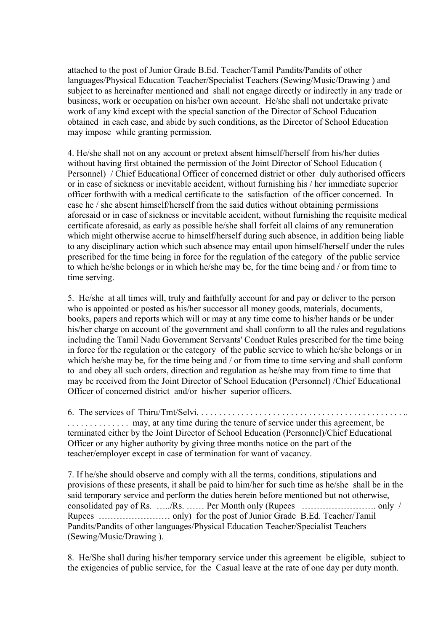attached to the post of Junior Grade B.Ed. Teacher/Tamil Pandits/Pandits of other languages/Physical Education Teacher/Specialist Teachers (Sewing/Music/Drawing ) and subject to as hereinafter mentioned and shall not engage directly or indirectly in any trade or business, work or occupation on his/her own account. He/she shall not undertake private work of any kind except with the special sanction of the Director of School Education obtained in each case, and abide by such conditions, as the Director of School Education may impose while granting permission.

4. He/she shall not on any account or pretext absent himself/herself from his/her duties without having first obtained the permission of the Joint Director of School Education ( Personnel) / Chief Educational Officer of concerned district or other duly authorised officers or in case of sickness or inevitable accident, without furnishing his / her immediate superior officer forthwith with a medical certificate to the satisfaction of the officer concerned. In case he / she absent himself/herself from the said duties without obtaining permissions aforesaid or in case of sickness or inevitable accident, without furnishing the requisite medical certificate aforesaid, as early as possible he/she shall forfeit all claims of any remuneration which might otherwise accrue to himself/herself during such absence, in addition being liable to any disciplinary action which such absence may entail upon himself/herself under the rules prescribed for the time being in force for the regulation of the category of the public service to which he/she belongs or in which he/she may be, for the time being and / or from time to time serving.

5. He/she at all times will, truly and faithfully account for and pay or deliver to the person who is appointed or posted as his/her successor all money goods, materials, documents, books, papers and reports which will or may at any time come to his/her hands or be under his/her charge on account of the government and shall conform to all the rules and regulations including the Tamil Nadu Government Servants' Conduct Rules prescribed for the time being in force for the regulation or the category of the public service to which he/she belongs or in which he/she may be, for the time being and / or from time to time serving and shall conform to and obey all such orders, direction and regulation as he/she may from time to time that may be received from the Joint Director of School Education (Personnel) /Chief Educational Officer of concerned district and/or his/her superior officers.

6. The services of Thiru/Tmt/Selvi. . . . . . . . . . . . . . . . . . . . . . . . . . . . . . . . . . . . . . . . . . . . . . ..

. . . . . . . . . . . . . . may, at any time during the tenure of service under this agreement, be terminated either by the Joint Director of School Education (Personnel)/Chief Educational Officer or any higher authority by giving three months notice on the part of the teacher/employer except in case of termination for want of vacancy.

7. If he/she should observe and comply with all the terms, conditions, stipulations and provisions of these presents, it shall be paid to him/her for such time as he/she shall be in the said temporary service and perform the duties herein before mentioned but not otherwise, consolidated pay of Rs. …../Rs. …… Per Month only (Rupees ……………………. only / Rupees …………………… only) for the post of Junior Grade B.Ed. Teacher/Tamil Pandits/Pandits of other languages/Physical Education Teacher/Specialist Teachers (Sewing/Music/Drawing ).

8. He/She shall during his/her temporary service under this agreement be eligible, subject to the exigencies of public service, for the Casual leave at the rate of one day per duty month.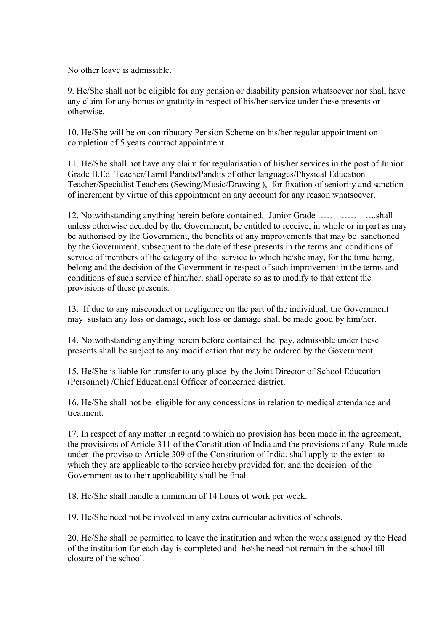No other leave is admissible.

9. He/She shall not be eligible for any pension or disability pension whatsoever nor shall have any claim for any bonus or gratuity in respect of his/her service under these presents or otherwise.

10. He/She will be on contributory Pension Scheme on his/her regular appointment on completion of 5 years contract appointment.

11. He/She shall not have any claim for regularisation of his/her services in the post of Junior Grade B.Ed. Teacher/Tamil Pandits/Pandits of other languages/Physical Education Teacher/Specialist Teachers (Sewing/Music/Drawing ), for fixation of seniority and sanction of increment by virtue of this appointment on any account for any reason whatsoever.

12. Notwithstanding anything herein before contained, Junior Grade ………………..shall unless otherwise decided by the Government, be entitled to receive, in whole or in part as may be authorised by the Government, the benefits of any improvements that may be sanctioned by the Government, subsequent to the date of these presents in the terms and conditions of service of members of the category of the service to which he/she may, for the time being, belong and the decision of the Government in respect of such improvement in the terms and conditions of such service of him/her, shall operate so as to modify to that extent the provisions of these presents.

13. If due to any misconduct or negligence on the part of the individual, the Government may sustain any loss or damage, such loss or damage shall be made good by him/her.

14. Notwithstanding anything herein before contained the pay, admissible under these presents shall be subject to any modification that may be ordered by the Government.

15. He/She is liable for transfer to any place by the Joint Director of School Education (Personnel) /Chief Educational Officer of concerned district.

16. He/She shall not be eligible for any concessions in relation to medical attendance and treatment.

17. In respect of any matter in regard to which no provision has been made in the agreement, the provisions of Article 311 of the Constitution of India and the provisions of any Rule made under the proviso to Article 309 of the Constitution of India. shall apply to the extent to which they are applicable to the service hereby provided for, and the decision of the Government as to their applicability shall be final.

18. He/She shall handle a minimum of 14 hours of work per week.

19. He/She need not be involved in any extra curricular activities of schools.

20. He/She shall be permitted to leave the institution and when the work assigned by the Head of the institution for each day is completed and he/she need not remain in the school till closure of the school.